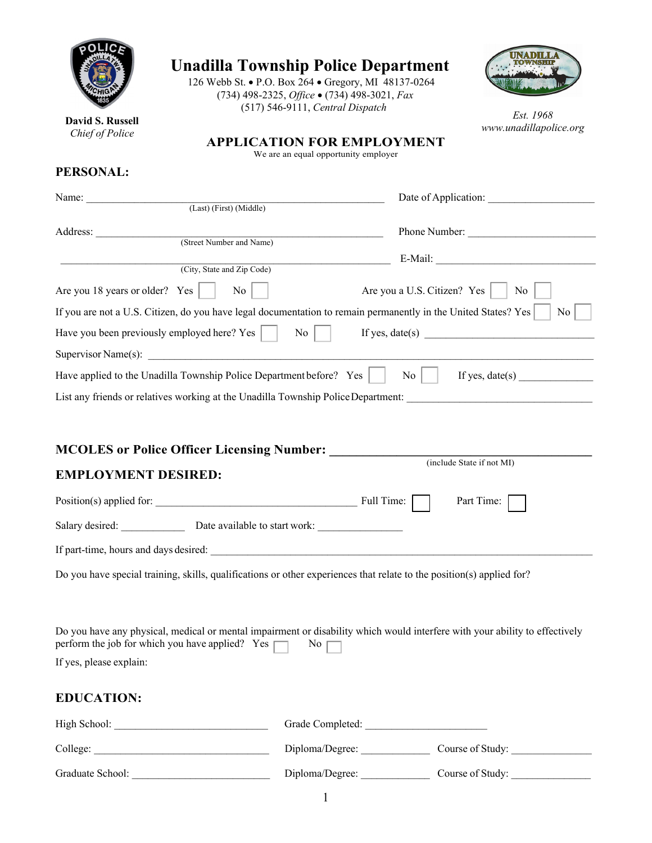| <b>Unadilla Township Police Department</b>                                        | 126 Webb St. • P.O. Box 264 • Gregory, MI 48137-0264<br>(734) 498-2325, Office . (734) 498-3021, Fax                  |                                                                                                                             |
|-----------------------------------------------------------------------------------|-----------------------------------------------------------------------------------------------------------------------|-----------------------------------------------------------------------------------------------------------------------------|
| David S. Russell                                                                  | (517) 546-9111, Central Dispatch                                                                                      | Est. 1968                                                                                                                   |
| Chief of Police                                                                   | <b>APPLICATION FOR EMPLOYMENT</b>                                                                                     | www.unadillapolice.org                                                                                                      |
|                                                                                   | We are an equal opportunity employer                                                                                  |                                                                                                                             |
| PERSONAL:                                                                         |                                                                                                                       |                                                                                                                             |
|                                                                                   | Name: (Last) (First) (Middle)                                                                                         |                                                                                                                             |
|                                                                                   |                                                                                                                       |                                                                                                                             |
|                                                                                   | Address: (Street Number and Name)                                                                                     | Phone Number:                                                                                                               |
|                                                                                   | (City, State and Zip Code)                                                                                            |                                                                                                                             |
| Are you 18 years or older? Yes                                                    | $\mathrm{No}$                                                                                                         | Are you a U.S. Citizen? Yes<br>No                                                                                           |
|                                                                                   | If you are not a U.S. Citizen, do you have legal documentation to remain permanently in the United States? Yes        | No                                                                                                                          |
|                                                                                   |                                                                                                                       | If yes, $date(s)$                                                                                                           |
|                                                                                   |                                                                                                                       |                                                                                                                             |
|                                                                                   |                                                                                                                       |                                                                                                                             |
|                                                                                   | Have applied to the Unadilla Township Police Department before? Yes                                                   | $\begin{array}{c c} \hline \text{No} & \text{If yes, date(s)} \end{array}$                                                  |
|                                                                                   |                                                                                                                       | List any friends or relatives working at the Unadilla Township Police Department:                                           |
|                                                                                   | MCOLES or Police Officer Licensing Number: _____________                                                              | (include State if not MI)                                                                                                   |
| <b>EMPLOYMENT DESIRED:</b>                                                        |                                                                                                                       |                                                                                                                             |
|                                                                                   | Position(s) applied for:                                                                                              | Full Time:<br>Part Time:                                                                                                    |
|                                                                                   | Salary desired: Date available to start work:                                                                         |                                                                                                                             |
|                                                                                   |                                                                                                                       |                                                                                                                             |
|                                                                                   | Do you have special training, skills, qualifications or other experiences that relate to the position(s) applied for? |                                                                                                                             |
|                                                                                   |                                                                                                                       |                                                                                                                             |
| perform the job for which you have applied? Yes $\Box$<br>If yes, please explain: | No $\Gamma$                                                                                                           | Do you have any physical, medical or mental impairment or disability which would interfere with your ability to effectively |
|                                                                                   |                                                                                                                       |                                                                                                                             |
| <b>EDUCATION:</b>                                                                 |                                                                                                                       |                                                                                                                             |
|                                                                                   |                                                                                                                       | Diploma/Degree: Course of Study:                                                                                            |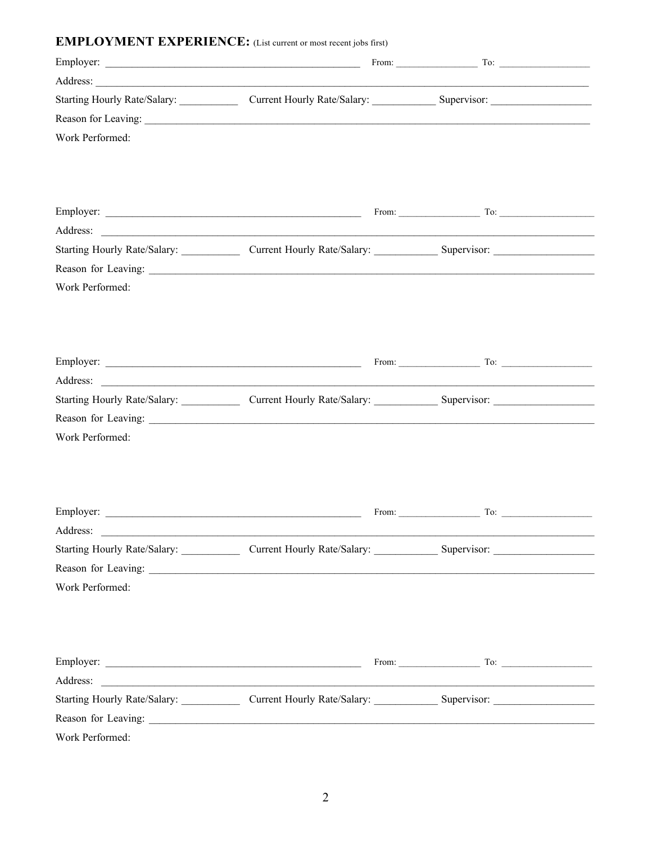## **EMPLOYMENT EXPERIENCE:** (List current or most recent jobs first)

|                 | Starting Hourly Rate/Salary: Current Hourly Rate/Salary: Supervisor: Current Hourly Rate/Salary:                                           |                                                  |  |
|-----------------|--------------------------------------------------------------------------------------------------------------------------------------------|--------------------------------------------------|--|
|                 |                                                                                                                                            |                                                  |  |
| Work Performed: |                                                                                                                                            |                                                  |  |
|                 |                                                                                                                                            |                                                  |  |
|                 |                                                                                                                                            |                                                  |  |
|                 |                                                                                                                                            |                                                  |  |
|                 | Address:<br>Starting Hourly Rate/Salary: Current Hourly Rate/Salary: Supervisor: Supervisor: Mate/Salary: All Starting Hourly Rate/Salary: |                                                  |  |
|                 |                                                                                                                                            |                                                  |  |
| Work Performed: |                                                                                                                                            |                                                  |  |
|                 |                                                                                                                                            |                                                  |  |
|                 |                                                                                                                                            |                                                  |  |
|                 |                                                                                                                                            |                                                  |  |
|                 |                                                                                                                                            |                                                  |  |
|                 |                                                                                                                                            |                                                  |  |
|                 |                                                                                                                                            |                                                  |  |
|                 |                                                                                                                                            |                                                  |  |
| Work Performed: |                                                                                                                                            |                                                  |  |
|                 |                                                                                                                                            |                                                  |  |
|                 |                                                                                                                                            |                                                  |  |
|                 |                                                                                                                                            |                                                  |  |
|                 |                                                                                                                                            | From: $\qquad \qquad \qquad$ To: $\qquad \qquad$ |  |
| Address:        |                                                                                                                                            |                                                  |  |
|                 | Starting Hourly Rate/Salary: Current Hourly Rate/Salary: Supervisor: Supervisor: Mate/Salary: All Starting Hourly Rate/Salary:             |                                                  |  |
|                 |                                                                                                                                            |                                                  |  |
| Work Performed: |                                                                                                                                            |                                                  |  |
|                 |                                                                                                                                            |                                                  |  |
|                 |                                                                                                                                            |                                                  |  |
|                 |                                                                                                                                            |                                                  |  |
|                 |                                                                                                                                            |                                                  |  |
|                 | Starting Hourly Rate/Salary: Current Hourly Rate/Salary: Supervisor: Supervisor: Mate/Salary: All Starting Hourly Rate/Salary:             |                                                  |  |
|                 |                                                                                                                                            |                                                  |  |
| Work Performed: |                                                                                                                                            |                                                  |  |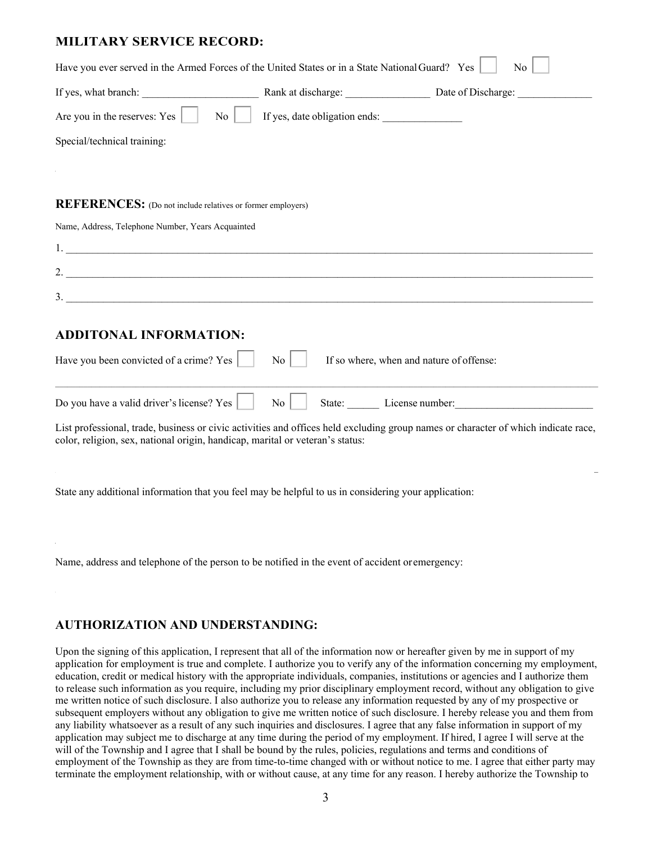## **MILITARY SERVICE RECORD:**

| Have you ever served in the Armed Forces of the United States or in a State National Guard? Yes                                 |                               | N <sub>0</sub>                           |
|---------------------------------------------------------------------------------------------------------------------------------|-------------------------------|------------------------------------------|
|                                                                                                                                 |                               |                                          |
| Are you in the reserves: Yes<br>N <sub>0</sub>                                                                                  | If yes, date obligation ends: |                                          |
| Special/technical training:                                                                                                     |                               |                                          |
|                                                                                                                                 |                               |                                          |
|                                                                                                                                 |                               |                                          |
| REFERENCES: (Do not include relatives or former employers)                                                                      |                               |                                          |
| Name, Address, Telephone Number, Years Acquainted                                                                               |                               |                                          |
|                                                                                                                                 |                               |                                          |
|                                                                                                                                 |                               |                                          |
| 3.                                                                                                                              |                               |                                          |
| <b>ADDITONAL INFORMATION:</b>                                                                                                   |                               |                                          |
| Have you been convicted of a crime? Yes                                                                                         | N <sub>o</sub>                | If so where, when and nature of offense: |
| Do you have a valid driver's license? Yes                                                                                       | No                            | State: License number: License number:   |
| List professional trade business or civic activities and offices held excluding group names or character of which indicate race |                               |                                          |

List professional, trade, business or civic activities and offices held excluding group names or character of which indicate race, color, religion, sex, national origin, handicap, marital or veteran's status:

 $\mathcal{L} = \{ \mathcal{L} = \{ \mathcal{L} = \{ \mathcal{L} = \{ \mathcal{L} = \{ \mathcal{L} = \{ \mathcal{L} = \{ \mathcal{L} = \{ \mathcal{L} = \{ \mathcal{L} = \{ \mathcal{L} = \{ \mathcal{L} = \{ \mathcal{L} = \{ \mathcal{L} = \{ \mathcal{L} = \{ \mathcal{L} = \{ \mathcal{L} = \{ \mathcal{L} = \{ \mathcal{L} = \{ \mathcal{L} = \{ \mathcal{L} = \{ \mathcal{L} = \{ \mathcal{L} = \{ \mathcal{L} = \{ \mathcal{$ 

 $\mathcal{L}_\mathcal{L} = \mathcal{L}_\mathcal{L} = \mathcal{L}_\mathcal{L} = \mathcal{L}_\mathcal{L} = \mathcal{L}_\mathcal{L} = \mathcal{L}_\mathcal{L} = \mathcal{L}_\mathcal{L} = \mathcal{L}_\mathcal{L} = \mathcal{L}_\mathcal{L} = \mathcal{L}_\mathcal{L} = \mathcal{L}_\mathcal{L} = \mathcal{L}_\mathcal{L} = \mathcal{L}_\mathcal{L} = \mathcal{L}_\mathcal{L} = \mathcal{L}_\mathcal{L} = \mathcal{L}_\mathcal{L} = \mathcal{L}_\mathcal{L}$ 

State any additional information that you feel may be helpful to us in considering your application:

Name, address and telephone of the person to be notified in the event of accident oremergency:

## **AUTHORIZATION AND UNDERSTANDING:**

Upon the signing of this application, I represent that all of the information now or hereafter given by me in support of my application for employment is true and complete. I authorize you to verify any of the information concerning my employment, education, credit or medical history with the appropriate individuals, companies, institutions or agencies and I authorize them to release such information as you require, including my prior disciplinary employment record, without any obligation to give me written notice of such disclosure. I also authorize you to release any information requested by any of my prospective or subsequent employers without any obligation to give me written notice of such disclosure. I hereby release you and them from any liability whatsoever as a result of any such inquiries and disclosures. I agree that any false information in support of my application may subject me to discharge at any time during the period of my employment. If hired, I agree I will serve at the will of the Township and I agree that I shall be bound by the rules, policies, regulations and terms and conditions of employment of the Township as they are from time-to-time changed with or without notice to me. I agree that either party may terminate the employment relationship, with or without cause, at any time for any reason. I hereby authorize the Township to